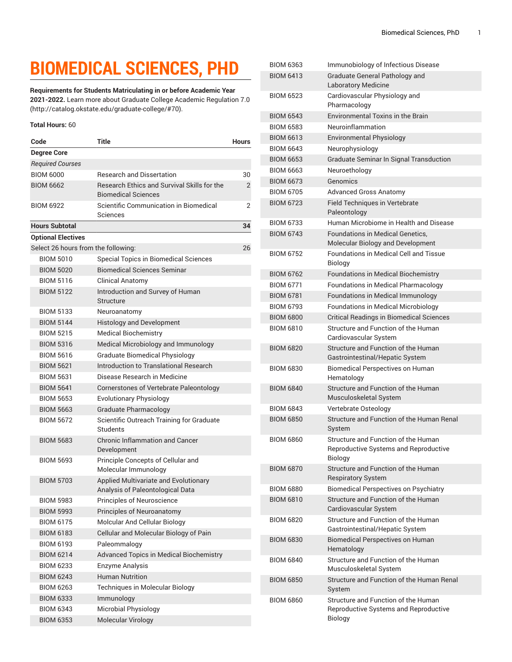## **BIOMEDICAL SCIENCES, PHD**

**Requirements for Students Matriculating in or before Academic Year 2021-2022.** Learn more about [Graduate College Academic Regulation 7.0](http://catalog.okstate.edu/graduate-college/#70) (<http://catalog.okstate.edu/graduate-college/#70>).

## **Total Hours:** 60

| Code                                | Title                                                                     | <b>Hours</b>   |
|-------------------------------------|---------------------------------------------------------------------------|----------------|
| <b>Degree Core</b>                  |                                                                           |                |
| <b>Required Courses</b>             |                                                                           |                |
| <b>BIOM 6000</b>                    | <b>Research and Dissertation</b>                                          | 30             |
| <b>BIOM 6662</b>                    | Besearch Ethics and Survival Skills for the<br><b>Biomedical Sciences</b> | $\overline{2}$ |
| <b>BIOM 6922</b>                    | Scientific Communication in Biomedical<br>Sciences                        | 2              |
| <b>Hours Subtotal</b>               |                                                                           | 34             |
| <b>Optional Electives</b>           |                                                                           |                |
| Select 26 hours from the following: |                                                                           |                |
| <b>BIOM 5010</b>                    | Special Topics in Biomedical Sciences                                     |                |
| <b>BIOM 5020</b>                    | <b>Biomedical Sciences Seminar</b>                                        |                |
| <b>BIOM 5116</b>                    | <b>Clinical Anatomy</b>                                                   |                |
| <b>BIOM 5122</b>                    | Introduction and Survey of Human<br>Structure                             |                |
| <b>BIOM 5133</b>                    | Neuroanatomy                                                              |                |
| <b>BIOM 5144</b>                    | <b>Histology and Development</b>                                          |                |
| <b>BIOM 5215</b>                    | <b>Medical Biochemistry</b>                                               |                |
| <b>BIOM 5316</b>                    | Medical Microbiology and Immunology                                       |                |
| <b>BIOM 5616</b>                    | <b>Graduate Biomedical Physiology</b>                                     |                |
| <b>BIOM 5621</b>                    | Introduction to Translational Research                                    |                |
| <b>BIOM 5631</b>                    | Disease Research in Medicine                                              |                |
| <b>BIOM 5641</b>                    | Cornerstones of Vertebrate Paleontology                                   |                |
| <b>BIOM 5653</b>                    | <b>Evolutionary Physiology</b>                                            |                |
| <b>BIOM 5663</b>                    | <b>Graduate Pharmacology</b>                                              |                |
| <b>BIOM 5672</b>                    | Scientific Outreach Training for Graduate<br>Students                     |                |
| <b>BIOM 5683</b>                    | <b>Chronic Inflammation and Cancer</b><br>Development                     |                |
| <b>BIOM 5693</b>                    | Principle Concepts of Cellular and<br>Molecular Immunology                |                |
| <b>BIOM 5703</b>                    | Applied Multivariate and Evolutionary<br>Analysis of Paleontological Data |                |
| <b>BIOM 5983</b>                    | <b>Principles of Neuroscience</b>                                         |                |
| <b>BIOM 5993</b>                    | Principles of Neuroanatomy                                                |                |
| <b>BIOM 6175</b>                    | Molcular And Cellular Biology                                             |                |
| <b>BIOM 6183</b>                    | Cellular and Molecular Biology of Pain                                    |                |
| <b>BIOM 6193</b>                    | Paleommalogy                                                              |                |
| <b>BIOM 6214</b>                    | Advanced Topics in Medical Biochemistry                                   |                |
| <b>BIOM 6233</b>                    | <b>Enzyme Analysis</b>                                                    |                |
| <b>BIOM 6243</b>                    | <b>Human Nutrition</b>                                                    |                |
| <b>BIOM 6263</b>                    | Techniques in Molecular Biology                                           |                |
| <b>BIOM 6333</b>                    | Immunology                                                                |                |
| <b>BIOM 6343</b>                    | Microbial Physiology                                                      |                |
| <b>BIOM 6353</b>                    | Molecular Virology                                                        |                |

| <b>BIOM 6363</b> | Immunobiology of Infectious Disease                                                            |
|------------------|------------------------------------------------------------------------------------------------|
| <b>BIOM 6413</b> | Graduate General Pathology and<br><b>Laboratory Medicine</b>                                   |
| <b>BIOM 6523</b> | Cardiovascular Physiology and<br>Pharmacology                                                  |
| <b>BIOM 6543</b> | <b>Environmental Toxins in the Brain</b>                                                       |
| <b>BIOM 6583</b> | Neuroinflammation                                                                              |
| <b>BIOM 6613</b> | <b>Environmental Physiology</b>                                                                |
| <b>BIOM 6643</b> | Neurophysiology                                                                                |
| <b>BIOM 6653</b> | Graduate Seminar In Signal Transduction                                                        |
| <b>BIOM 6663</b> | Neuroethology                                                                                  |
| <b>BIOM 6673</b> | Genomics                                                                                       |
| <b>BIOM 6705</b> | <b>Advanced Gross Anatomy</b>                                                                  |
| <b>BIOM 6723</b> | <b>Field Techniques in Vertebrate</b><br>Paleontology                                          |
| <b>BIOM 6733</b> | Human Microbiome in Health and Disease                                                         |
| <b>BIOM 6743</b> | <b>Foundations in Medical Genetics.</b><br>Molecular Biology and Development                   |
| <b>BIOM 6752</b> | <b>Foundations in Medical Cell and Tissue</b><br><b>Biology</b>                                |
| <b>BIOM 6762</b> | Foundations in Medical Biochemistry                                                            |
| <b>BIOM 6771</b> | Foundations in Medical Pharmacology                                                            |
| <b>BIOM 6781</b> | <b>Foundations in Medical Immunology</b>                                                       |
| <b>BIOM 6793</b> | Foundations in Medical Microbiology                                                            |
| <b>BIOM 6800</b> | <b>Critical Readings in Biomedical Sciences</b>                                                |
| <b>BIOM 6810</b> | Structure and Function of the Human<br>Cardiovascular System                                   |
| <b>BIOM 6820</b> | Structure and Function of the Human<br>Gastrointestinal/Hepatic System                         |
| <b>BIOM 6830</b> | <b>Biomedical Perspectives on Human</b><br>Hematology                                          |
| <b>BIOM 6840</b> | Structure and Function of the Human<br>Musculoskeletal System                                  |
| <b>BIOM 6843</b> | Vertebrate Osteology                                                                           |
| <b>BIOM 6850</b> | Structure and Function of the Human Renal<br>System                                            |
| <b>BIOM 6860</b> | Structure and Function of the Human<br>Reproductive Systems and Reproductive<br><b>Biology</b> |
| <b>BIOM 6870</b> | Structure and Function of the Human<br><b>Respiratory System</b>                               |
| <b>BIOM 6880</b> | <b>Biomedical Perspectives on Psychiatry</b>                                                   |
| <b>BIOM 6810</b> | Structure and Function of the Human<br>Cardiovascular System                                   |
| <b>BIOM 6820</b> | Structure and Function of the Human<br>Gastrointestinal/Hepatic System                         |
| <b>BIOM 6830</b> | <b>Biomedical Perspectives on Human</b><br>Hematology                                          |
| <b>BIOM 6840</b> | Structure and Function of the Human<br>Musculoskeletal System                                  |
| <b>BIOM 6850</b> | Structure and Function of the Human Renal<br>System                                            |
| <b>BIOM 6860</b> | Structure and Function of the Human<br>Reproductive Systems and Reproductive<br><b>Biology</b> |